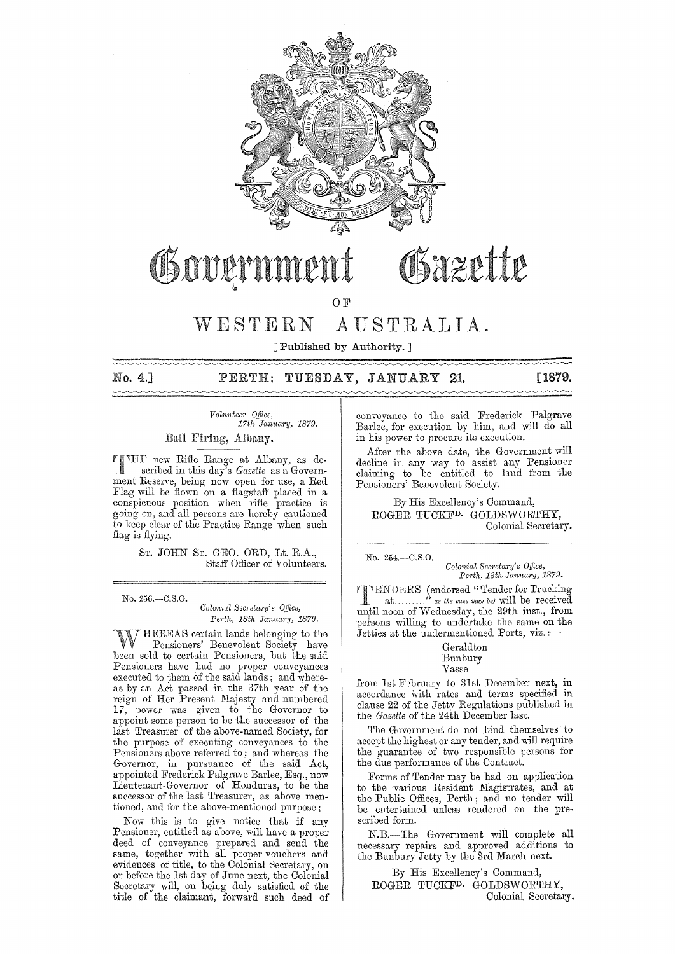

# Obazette Governn

OF

# WESTERN AUSTRALIA.

[Published by Authority. ]

# No. 4.] PERTH: TUESDAY, JANUARY 21. **[1879.**

# *Volunteer Office,*<br>17th January, 1879.

Eall Firing, Albany.

FIHE new Rifle Range at Albany, as described in this day's *Gazette* as a Govemment Reserve, being now open for use, a Red Flag will be flown on a flagstaff placed in a conspicuous position when rifle practice is going on, and all persons are hereby cautioned to keep clear of the Practice Range when such flag is flying.

> ST. JOHN ST. GEO. ORD, Lt. R.A., Staff Officer of Volunteers.

No. 256.-0.8.0. *Colonial Secretary's Office,*  Perth, 18th January, 1879.

HEREAS certain lands belonging to the Pensioners' Benevolent Society have been sold to certain Pensioners, but the said Pensioners have had no proper conveyances executed to them of the said lands ; and whereas by an Act passed in the 37th year of the reign of Her Present Majesty and numbered 17, power was given to the Governor to appoint some person to be the successor of the last Treasurer of the above-named Society, for the purpose of executing conveyances to the Pensioners above referred to; and whereas the Governor, in pursuance of the said Act, appointed Frederick Palgrave Barlee, Esq., now Lieutenant-Governor of Honduras, to be the successor of the last Treasurer, as above mentioned, and for the above-mentioned purpose;

Now this is to give notice that if any Pensioner, entitled as above, will have a proper deed of conveyance prepared and send the same, together with all proper vouchers and evidences of title, to the Colonial Secretary, on or before the 1st day of June next, the Colonial Secretary will, on being duly satisfied of the title of the claimant, forward such deed of

conveyance to the said Frederick Palgrave Barlee, for execution by him, and will do all in his power to procure its execution.

After the above date, the Government will decline in any way to assist any Pensioner claiming to be entitled to land from the Pensioners' Benevolent Society.

By His Excellency's Command, ROGER TUCKFD. GOLDSWORTHY, Colonial Secretary.

No. 254.-0.8.0.  $Colonial$  Secretary's Office, Perth, 13th January, 1879.

**T** FENDERS (endorsed "Tender for Trucking<br>at........." as the case may be will be received<br>until noon of Wednesday, the 29th inst., from **ENDERS** (endorsed "Tender for Trucking" at.........<sup>3</sup> as the case may be) will be received persons willing to undertake the same on the Jetties at the undermentioned Ports, viz.:-

#### Geraldton Bunbury Vasse

from 1st February to 31st December next, in accordance with rates and terms specified in clause 22 of the Jetty Regulations published in the *Gazette* of the 24th December last.

The Government do not bind themselves to accept the highest or any tender, and will require the guarantee of two responsible persons for the due performance of the Contract.

Forms of Tender may be had on application to the various Resident Magistrates, and at the Public Offices, Perth; and no tender will be entertained unless rendered on the prescribed form.

N.B.-The Government will complete all necessary repaixs and approved additions to the Bunbury Jetty by the 3rd March next.

By His Excellency's Command, ROGER TUCKFD. GOLDSWORTHY, Colonial Secretary.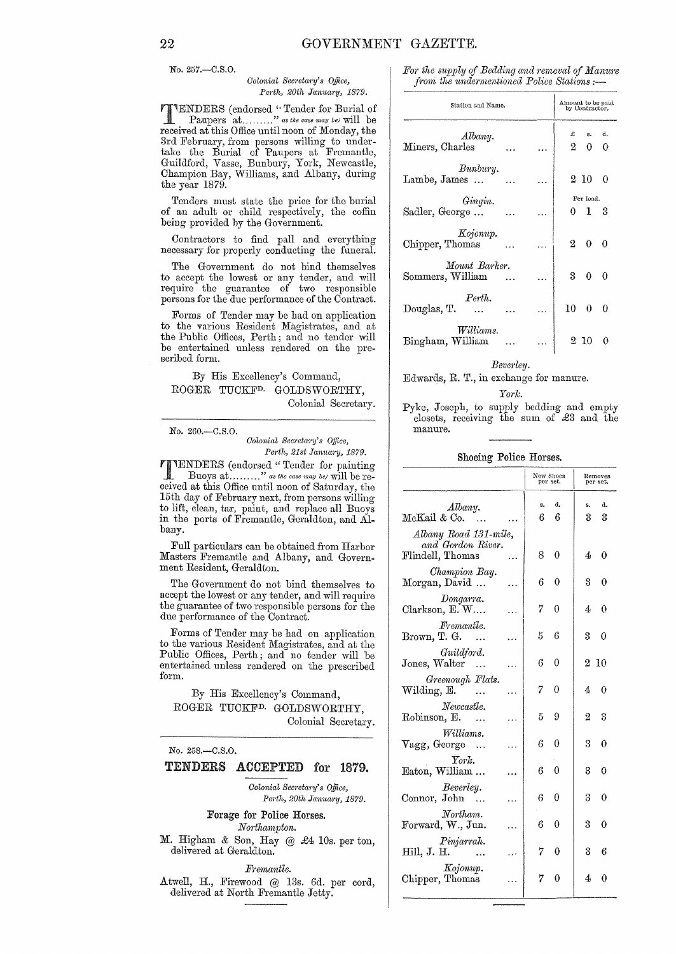No. 257.-C.S.O.

#### *Oolonial SeCl'etal'Y's Office,*  Perth, 20th January, 1879.

**TENDERS** (endorsed "Tender for Burial of Paupers at ........." as the case may be) will be received at this Office until noon of Monday, the 3rd February, from persous willing to undertake the Burial of Paupers at Fremantle, Guildford, Vasse, Bunbury, York, Newcastle, Champion Bay, Williams, and Albany, during the year 1879.

Tenders must state the price for the burial of an adult or child respectively, the coffin being provided by the Government.

Contractors to find pall and everything necessary for properly conducting the funeral.

The Government do not bind themselves to accept the lowest or any tender, and will require the guarantee of two responsible persons for the due performance of the Contract.

Forms of Tender may be had on application to the various Resident Magistrates, and at the Public Offices, Perth; and no tender will be entertained unless rendered on the prescribed form.

## By His Excellency's Command, ROGER TUCKFD. GOLDSWORTHY, Colonial Secretary.

No. 260.-C.S.O.

 $Colonial$  Secretary's Office, *Perth, 21st January, 1879.* 

**TTENDERS** (endorsed "Tender for painting<br>
Buoys at ........." as the case may be) will be received at this Office until noon of Saturday, the 15th day of February next, from persons willing to lift, clean, tar, paint, and replace all Buoys in the ports of Fremantle, Geraldton, and Albany.

Full particulars can be obtained from Harbor Masters Fremantle and Albany, and Government Resident, Geraldton.

The Government do not bind themselves to accept the lowest or any tender, and will require the guarantee of two responsible persons for the due performance of the Contract.

Forms of Tender may be had on application to the various Resident Magistrates, and at the Public Offices, Perth; and no tender will be entertained unless rcndered on the prescribed form.

By His Excellency's Command, ROGER TUCKFD. GOLDSWORTHY, Colonial Secretary.

| $No. 258 - C.S.O.$ |                              |  |  |  |  |  |
|--------------------|------------------------------|--|--|--|--|--|
|                    | TENDERS ACCEPTED for 1879.   |  |  |  |  |  |
|                    | Colonial Secretary's Office. |  |  |  |  |  |

*Pel'th, 20th January, 1879.*  Forage for Police Horses.  $\emph{Northampton.}$ 

M. Higham & Son, Hay @ £4 10s. per ton, delivered at Geraldton.

*Fremantle.*  Atwell, H., Firewood @ 13s. 6d. per cord, delivered at North Fremantle Jetty.

For the supply of Bedding and removal of Manure *from the undermentioned Police Stations* :-

| Station and Name.                 |        |  |           | Amount to be paid<br>by Contractor, |    |  |  |
|-----------------------------------|--------|--|-----------|-------------------------------------|----|--|--|
| Albany.                           |        |  | £         | s.                                  | d. |  |  |
| Miners, Charles                   |        |  | $^{2-}$   | 0                                   | 0  |  |  |
| Bunbury.<br>Lambe, James          | $\sim$ |  |           | $2\,$ $10\,$                        | 0  |  |  |
| Gingin.                           |        |  | Per load. |                                     |    |  |  |
| Sadler, George                    |        |  |           | 013                                 |    |  |  |
| Kojonup.<br>Chipper, Thomas       |        |  |           | $2\quad 0\quad 0$                   |    |  |  |
| Mount Barker.<br>Sommers, William |        |  |           | $3 \quad 0 \quad 0$                 |    |  |  |
| Perth.<br>Douglas, T.             |        |  | 10        | $0 \quad 0$                         |    |  |  |
| Williams.<br>Bingham, William     |        |  |           | $2\,$ $10\,$                        |    |  |  |

#### *Beve1'ley,*

Edwards, R. T., in exchange for manure.

#### *Ym·k*

Pyke, Joseph, to supply bedding and empty closets, receiving the sum of £3 and the manure.

Shoeing Police Horses.

|                                                                |  | New Shoes<br>per set. |          | Removes<br>per set. |            |  |
|----------------------------------------------------------------|--|-----------------------|----------|---------------------|------------|--|
| Albany.<br>McKail & Co.                                        |  | s,<br>6               | đ.<br>6  | s.<br>3             | d.<br>3    |  |
| Albany Road 131-mile,<br>and Gordon River.<br>Flindell, Thomas |  | 8                     | 0        | 4                   | 0          |  |
| Champion Bay.<br>Morgan, David                                 |  | 6                     | 0        | 3                   | 0          |  |
| Dongarra.<br>Clarkson, E.W                                     |  | 7                     | 0        | 4                   | 0          |  |
| Fremantle.<br>Brown, T. G. $\ldots$                            |  | $5 -$                 | 6        | 3                   | 0          |  |
| Guildford.<br>$\rm Jones, Walter$<br>$\sim$                    |  | 6                     | 0        |                     | $2\,$ $10$ |  |
| Greenough Flats.<br>Wilding, E.                                |  | 7                     | 0        | 4                   | 0          |  |
| Newcastle.<br>Robinson, E.<br>$\sim$                           |  | $5 -$                 | 9        | $2^-$               | 3          |  |
| Williams.<br>Vagg, George                                      |  | 6                     | 0        | 3                   | 0          |  |
| $\mathop{\mathit Tork}\nolimits$ .<br>Eaton, William           |  | 6                     | $\theta$ | 3                   | 0          |  |
| Beverley.<br>Connor, John<br>$\sim$                            |  | 6                     | 0        | ន                   | 0          |  |
| Northam.<br>Forward, W., Jun.                                  |  | 6                     | 0        | 3                   | 0          |  |
| Pinjarrah.<br>Hill, J. H.                                      |  | 7.                    | 0        | 3                   | 6          |  |
| Kojonup.<br>Chipper, Thomas                                    |  | 7                     | 0        | 4                   | 0          |  |
|                                                                |  |                       |          |                     |            |  |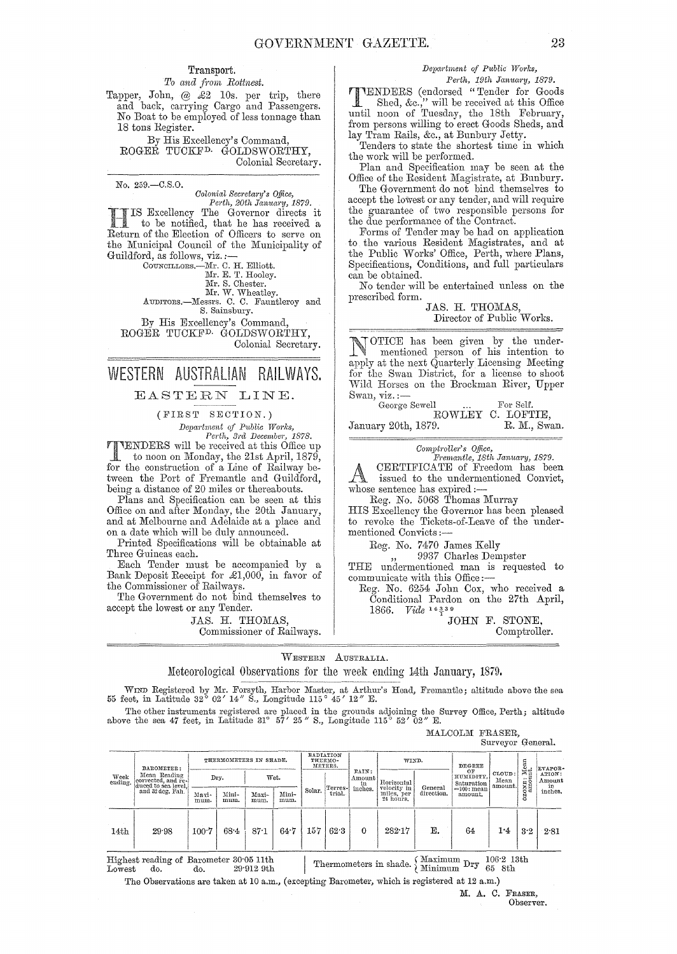#### Transport.

 $To$  and from Rottnest. Tapper, John, @ £2 10s. per trip, there and back, carrying Cargo and Passengers. No Boat to be employed of less tonnage than 18 tons Register.

By His Excellency's Command, ROGER TUCKFD. GOLDSWORTHY, Colonial Secretary.

No. 259.-C.S.0. *Oolonial SeCl'etal'Y's Office, Perth, 20th January, 1879.* 

IS Excellency The Governor directs it to be notified, that he has received a Return of the Election of Officers to serve on the Municipal Council of the Municipality of Guildford, as follows, viz. :- COUNCILLORS.-JI'Ir. C. H. Elliott. Mr. E. T. Hooley. Mr. S. Chester.

Mr. W. Wheatley.<br>AUDITORS.—Messrs. C. C. Fauntleroy and S. Sainsbury. By His Excellency's Command,

ROGER TUCKFD. GOLDSWORTHY, Colonial Secretary.

# WESTERN AUSTRALIAN RAILWAYS.

## EASTERN LINE.

(FIRST SECTION.)

 $Department of Public Works,$ Perth, 3rd December, 1878.

TENDERS will be received at this Office up to noon on Monday, the 21st April, 1879, for the construction of a Line of Railway between the Port of Fremantle and Guildford, being a distance of 20 miles or thereabouts.

Plans and Specification can be seen at this Office on and after Monday, the 20th January, and at Melbourne and Adelaide at a place and on a date which will be duly announced.

Printed Specifications will be obtainable at Three Guineas each.<br>Each Tender must be accompanied by a

Bank Deposit Receipt for  $\pounds1,000$ , in favor of the Commissioner of Railways.

The Government do not bind themselves to accept the lowest or any Tender.

> JAS. H. THOMAS, Commissioner of Railways.

# *DepO-l·tment of Ptlblic l'Vorks,*

*Perth, 19th January, 1879.* 

**IENDERS** (endorsed "Tender for Goods Shed, &c.," will be received at this Office Shed, &c.," will be received at this Office until noon of Tuesday, the 18th February, from persons willing to erect Goods Sheds, and lay Tram Rails, &c., at Bunbury Jetty.

Tenders to state the shortest time in which the work will be performed.

Plan and Specification may be seen at the Office of the Resident Magistrate, at Bunbury.

The Government do not bind themselves to accept the lowest or any tender, and will require the guarantee of two responsible persons for the due performance of the Contract.

Forms of Tender may be had on application to the various Resident Magistrates, and at the Public Works' Office, Perth, where Plans, Specifications, Conditions, and full particulars can be obtained.

No tender will be entertained unless on the prescribed form.

JAS. H. THOMAS, Director of Public Works.

OTICE has been given by the under-<br>mentioned person of his intention to apply at the next Quarterly Licensing Meeting for the Swan District, for a license to shoot Wild Horses on the Brockman River, Upper Swan, viz. :-

George Sewell ... For Self. ROWLEY C. LOFTIE,<br>9. R. M., Swan. January 20th, 1879.

 $Computer's$  *Office,* 

*Ji'remantle, 18th Januaj'y, 1879.*  CERTIFICATE of Freedom has been issued to the undermentioned Convict, whose sentence has expired :-

Reg. No. 5068 Thomas Murray

HIS Excellency the Governor has been pleased to revoke the Tickets-of-Leave of the undermentioned Convicts:-

Reg. No. 7470 James Kelly

9937 Charles Dempster

THE undermentioned man is requested to communicate with this Office:-

Reg. No. 6254 John Cox, who received a Conditional Pardon on the 27th April, 1866. *Vide* 14339

MALCOLM FRASER,

JOHN F. STONE, Comptroller.

WESTERN AUSTRALIA.

Meteorological Observations for the week ending 14th January, 1879.

WIND Registered by Mr. Forsyth, Harbor Master, at Arthur's Head, Fremantle; altitude above the sea 55 feet, in Latitude 32° 02' *14"* S., Longitude 115° 45' *12"* E.

The other instruments registered are placed in the grounds adjoining the Survey Office, Perth; altitude above the sea 47 feet, in Latitude 31° 57' 25" S., Longitude 115° 52' 02" E.

Surveyor General. THERMOMETERS IN SHADE. RADIATION THERMOMETERS. WIND. DA.ROMETER: I -------,------- I--"''''''''=-IIVLIN: METERS. DEGREE --,-- .t IEVAP~~ e~~~~ c~r~::c~e~e:glnffe\_1 Dry. I Wet. ! Am~;mt Horizontal 1:1' cluced to sea-level,! 'T . 1 't . ancl32 deg. l?alL I \) . I I I Mini- Solar. I tl:l~1~~ lllches. ~if;~, )~~~ m~~ ~~~~-. Ai~~t mum. I 24 hours.  $14\text{th}$  | 29.98  $\Big|100.7 \Big| 68.4 \Big| 87.1 \Big| 64.7 \Big| 157 \Big| 62.3 \Big| 0 \Big| 282.17$ General direction. E.  $\begin{tabular}{c|c} \texttt{DFGREF} \\ \texttt{HUMIDITY} \\ \texttt{RUMIDITY} \\ \texttt{Solution} \\ \texttt{=100: mean} \\ \texttt{mean} \\ \texttt{amount,} \\ \texttt{amount,} \\ \end{tabular} \begin{tabular}{c} \texttt{GLOVD:} \\ \texttt{GLOID:} \\ \texttt{MEDAN} \\ \texttt{in} \\ \texttt{in} \\ \texttt{in} \\ \texttt{in} \\ \texttt{in} \\ \end{tabular}$  $\begin{array}{r}\n\text{HUMIDITY,} \quad \text{Mean} \quad \text{in} \quad \text{Amount.}\n\text{Saturated amount.} \quad \text{in} \quad \text{in} \quad \text{in} \quad \text{in} \quad \text{in} \quad \text{in} \quad \text{in} \quad \text{in} \quad \text{in} \quad \text{in} \quad \text{in} \quad \text{in} \quad \text{in} \quad \text{in} \quad \text{in} \quad \text{in} \quad \text{in} \quad \text{in} \quad \text{in} \quad \text{in} \quad \text{in} \quad \text{in} \quad \text{in} \quad \text{in} \quad \text$ 64 | 1'4 | 3'2 | 2'81

Highest reading of Barometer 30'05 11th Thermometers in shade.  $\begin{array}{c} \text{Maximum Dr } 106'2 \text{ 13th} \\ \text{Minimum Dr } 65 \text{ 8th} \end{array}$ 

The Observations are taken at 10 a.m., (excepting Barometer, which is registered at 12 a.m.)

M. A. C. FRASER, Observer.